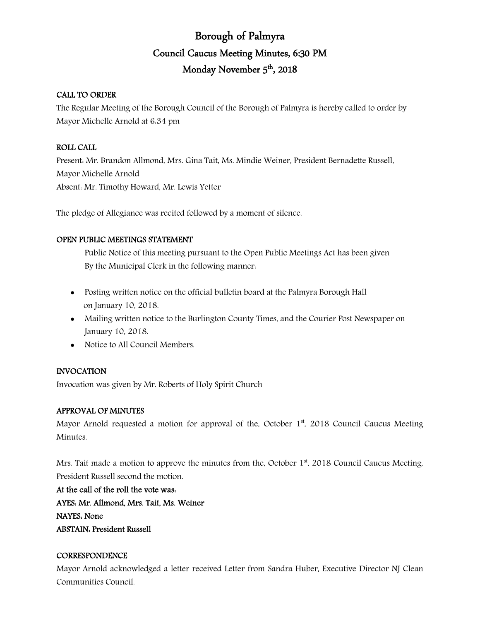# Borough of Palmyra Council Caucus Meeting Minutes, 6:30 PM Monday November 5<sup>th</sup>, 2018

## CALL TO ORDER

The Regular Meeting of the Borough Council of the Borough of Palmyra is hereby called to order by Mayor Michelle Arnold at 6:34 pm

## ROLL CALL

Present: Mr. Brandon Allmond, Mrs. Gina Tait, Ms. Mindie Weiner, President Bernadette Russell, Mayor Michelle Arnold Absent: Mr. Timothy Howard, Mr. Lewis Yetter

The pledge of Allegiance was recited followed by a moment of silence.

## OPEN PUBLIC MEETINGS STATEMENT

Public Notice of this meeting pursuant to the Open Public Meetings Act has been given By the Municipal Clerk in the following manner:

- Posting written notice on the official bulletin board at the Palmyra Borough Hall on January 10, 2018.
- Mailing written notice to the Burlington County Times, and the Courier Post Newspaper on January 10, 2018.
- Notice to All Council Members.

## INVOCATION

Invocation was given by Mr. Roberts of Holy Spirit Church

## APPROVAL OF MINUTES

Mayor Arnold requested a motion for approval of the, October  $1<sup>st</sup>$ , 2018 Council Caucus Meeting Minutes.

Mrs. Tait made a motion to approve the minutes from the, October  $1<sup>st</sup>$ , 2018 Council Caucus Meeting. President Russell second the motion.

At the call of the roll the vote was: AYES: Mr. Allmond, Mrs. Tait, Ms. Weiner NAYES: None ABSTAIN: President Russell

## **CORRESPONDENCE**

Mayor Arnold acknowledged a letter received Letter from Sandra Huber, Executive Director NJ Clean Communities Council.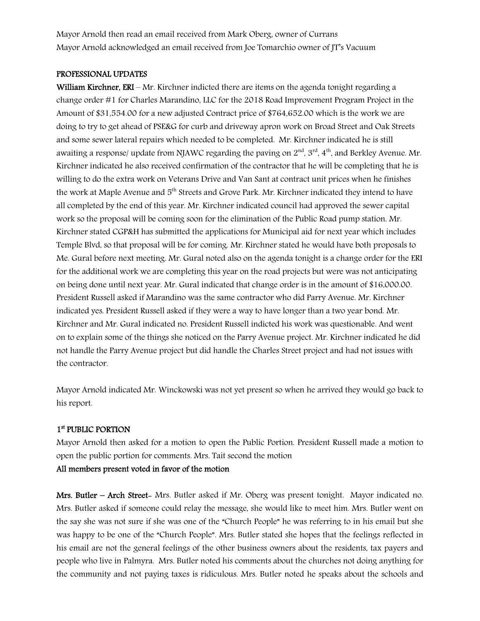Mayor Arnold then read an email received from Mark Oberg, owner of Currans Mayor Arnold acknowledged an email received from Joe Tomarchio owner of JT's Vacuum

#### PROFESSIONAL UPDATES

William Kirchner, ERI – Mr. Kirchner indicted there are items on the agenda tonight regarding a change order #1 for Charles Marandino, LLC for the 2018 Road Improvement Program Project in the Amount of \$31,554.00 for a new adjusted Contract price of \$764,652.00 which is the work we are doing to try to get ahead of PSE&G for curb and driveway apron work on Broad Street and Oak Streets and some sewer lateral repairs which needed to be completed. Mr. Kirchner indicated he is still awaiting a response/ update from NJAWC regarding the paving on  $2<sup>nd</sup>$ ,  $3<sup>rd</sup>$ ,  $4<sup>th</sup>$ , and Berkley Avenue. Mr. Kirchner indicated he also received confirmation of the contractor that he will be completing that he is willing to do the extra work on Veterans Drive and Van Sant at contract unit prices when he finishes the work at Maple Avenue and 5<sup>th</sup> Streets and Grove Park. Mr. Kirchner indicated they intend to have all completed by the end of this year. Mr. Kirchner indicated council had approved the sewer capital work so the proposal will be coming soon for the elimination of the Public Road pump station. Mr. Kirchner stated CGP&H has submitted the applications for Municipal aid for next year which includes Temple Blvd, so that proposal will be for coming. Mr. Kirchner stated he would have both proposals to Me. Gural before next meeting. Mr. Gural noted also on the agenda tonight is a change order for the ERI for the additional work we are completing this year on the road projects but were was not anticipating on being done until next year. Mr. Gural indicated that change order is in the amount of \$16,000.00. President Russell asked if Marandino was the same contractor who did Parry Avenue. Mr. Kirchner indicated yes. President Russell asked if they were a way to have longer than a two year bond. Mr. Kirchner and Mr. Gural indicated no. President Russell indicted his work was questionable. And went on to explain some of the things she noticed on the Parry Avenue project. Mr. Kirchner indicated he did not handle the Parry Avenue project but did handle the Charles Street project and had not issues with the contractor.

Mayor Arnold indicated Mr. Winckowski was not yet present so when he arrived they would go back to his report.

## 1<sup>st</sup> PUBLIC PORTION

Mayor Arnold then asked for a motion to open the Public Portion. President Russell made a motion to open the public portion for comments. Mrs. Tait second the motion

## All members present voted in favor of the motion

Mrs. Butler – Arch Street- Mrs. Butler asked if Mr. Oberg was present tonight. Mayor indicated no. Mrs. Butler asked if someone could relay the message, she would like to meet him. Mrs. Butler went on the say she was not sure if she was one of the "Church People" he was referring to in his email but she was happy to be one of the "Church People". Mrs. Butler stated she hopes that the feelings reflected in his email are not the general feelings of the other business owners about the residents, tax payers and people who live in Palmyra. Mrs. Butler noted his comments about the churches not doing anything for the community and not paying taxes is ridiculous. Mrs. Butler noted he speaks about the schools and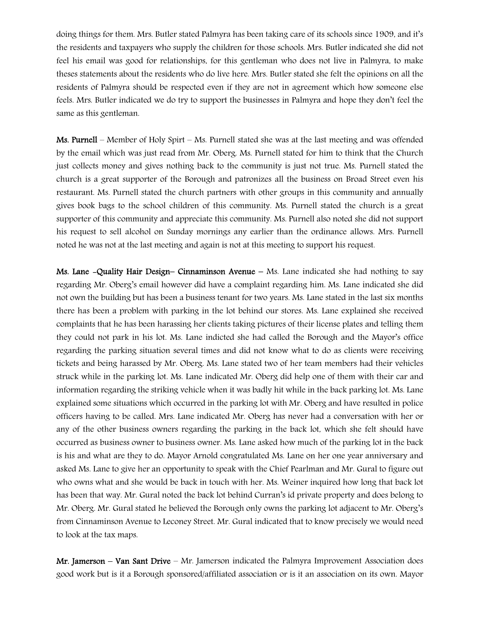doing things for them. Mrs. Butler stated Palmyra has been taking care of its schools since 1909, and it's the residents and taxpayers who supply the children for those schools. Mrs. Butler indicated she did not feel his email was good for relationships, for this gentleman who does not live in Palmyra, to make theses statements about the residents who do live here. Mrs. Butler stated she felt the opinions on all the residents of Palmyra should be respected even if they are not in agreement which how someone else feels. Mrs. Butler indicated we do try to support the businesses in Palmyra and hope they don't feel the same as this gentleman.

Ms. Purnell – Member of Holy Spirt – Ms. Purnell stated she was at the last meeting and was offended by the email which was just read from Mr. Oberg. Ms. Purnell stated for him to think that the Church just collects money and gives nothing back to the community is just not true. Ms. Purnell stated the church is a great supporter of the Borough and patronizes all the business on Broad Street even his restaurant. Ms. Purnell stated the church partners with other groups in this community and annually gives book bags to the school children of this community. Ms. Purnell stated the church is a great supporter of this community and appreciate this community. Ms. Purnell also noted she did not support his request to sell alcohol on Sunday mornings any earlier than the ordinance allows. Mrs. Purnell noted he was not at the last meeting and again is not at this meeting to support his request.

Ms. Lane -Quality Hair Design– Cinnaminson Avenue – Ms. Lane indicated she had nothing to say regarding Mr. Oberg's email however did have a complaint regarding him. Ms. Lane indicated she did not own the building but has been a business tenant for two years. Ms. Lane stated in the last six months there has been a problem with parking in the lot behind our stores. Ms. Lane explained she received complaints that he has been harassing her clients taking pictures of their license plates and telling them they could not park in his lot. Ms. Lane indicted she had called the Borough and the Mayor's office regarding the parking situation several times and did not know what to do as clients were receiving tickets and being harassed by Mr. Oberg. Ms. Lane stated two of her team members had their vehicles struck while in the parking lot. Ms. Lane indicated Mr. Oberg did help one of them with their car and information regarding the striking vehicle when it was badly hit while in the back parking lot. Ms. Lane explained some situations which occurred in the parking lot with Mr. Oberg and have resulted in police officers having to be called. Mrs. Lane indicated Mr. Oberg has never had a conversation with her or any of the other business owners regarding the parking in the back lot, which she felt should have occurred as business owner to business owner. Ms. Lane asked how much of the parking lot in the back is his and what are they to do. Mayor Arnold congratulated Ms. Lane on her one year anniversary and asked Ms. Lane to give her an opportunity to speak with the Chief Pearlman and Mr. Gural to figure out who owns what and she would be back in touch with her. Ms. Weiner inquired how long that back lot has been that way. Mr. Gural noted the back lot behind Curran's id private property and does belong to Mr. Oberg. Mr. Gural stated he believed the Borough only owns the parking lot adjacent to Mr. Oberg's from Cinnaminson Avenue to Leconey Street. Mr. Gural indicated that to know precisely we would need to look at the tax maps.

Mr. Jamerson – Van Sant Drive – Mr. Jamerson indicated the Palmyra Improvement Association does good work but is it a Borough sponsored/affiliated association or is it an association on its own. Mayor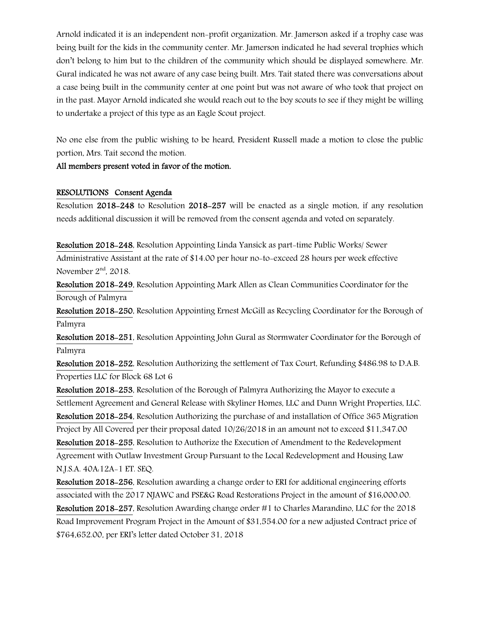Arnold indicated it is an independent non-profit organization. Mr. Jamerson asked if a trophy case was being built for the kids in the community center. Mr. Jamerson indicated he had several trophies which don't belong to him but to the children of the community which should be displayed somewhere. Mr. Gural indicated he was not aware of any case being built. Mrs. Tait stated there was conversations about a case being built in the community center at one point but was not aware of who took that project on in the past. Mayor Arnold indicated she would reach out to the boy scouts to see if they might be willing to undertake a project of this type as an Eagle Scout project.

No one else from the public wishing to be heard, President Russell made a motion to close the public portion, Mrs. Tait second the motion.

All members present voted in favor of the motion.

## RESOLUTIONS Consent Agenda

Resolution 2018-248 to Resolution 2018-257 will be enacted as a single motion, if any resolution needs additional discussion it will be removed from the consent agenda and voted on separately.

Resolution 2018-248, Resolution Appointing Linda Yansick as part-time Public Works/ Sewer Administrative Assistant at the rate of \$14.00 per hour no-to-exceed 28 hours per week effective November  $2<sup>nd</sup>$ , 2018.

Resolution 2018-249, Resolution Appointing Mark Allen as Clean Communities Coordinator for the Borough of Palmyra

Resolution 2018-250, Resolution Appointing Ernest McGill as Recycling Coordinator for the Borough of Palmyra

Resolution 2018-251, Resolution Appointing John Gural as Stormwater Coordinator for the Borough of Palmyra

Resolution 2018-252, Resolution Authorizing the settlement of Tax Court, Refunding \$486.98 to D.A.B. Properties LLC for Block 68 Lot 6

Resolution 2018-253, Resolution of the Borough of Palmyra Authorizing the Mayor to execute a Settlement Agreement and General Release with Skyliner Homes, LLC and Dunn Wright Properties, LLC. Resolution 2018-254, Resolution Authorizing the purchase of and installation of Office 365 Migration Project by All Covered per their proposal dated 10/26/2018 in an amount not to exceed \$11,347.00 Resolution 2018-255, Resolution to Authorize the Execution of Amendment to the Redevelopment Agreement with Outlaw Investment Group Pursuant to the Local Redevelopment and Housing Law N.J.S.A. 40A:12A-1 ET. SEQ.

Resolution 2018-256, Resolution awarding a change order to ERI for additional engineering efforts associated with the 2017 NJAWC and PSE&G Road Restorations Project in the amount of \$16,000.00. Resolution 2018-257, Resolution Awarding change order #1 to Charles Marandino, LLC for the 2018 Road Improvement Program Project in the Amount of \$31,554.00 for a new adjusted Contract price of \$764,652.00, per ERI's letter dated October 31, 2018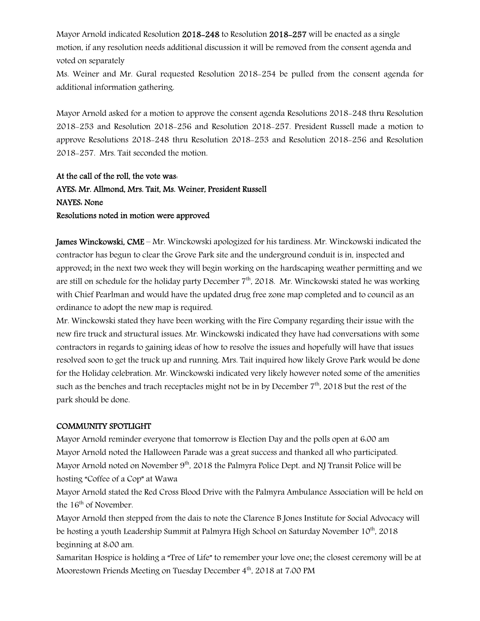Mayor Arnold indicated Resolution 2018-248 to Resolution 2018-257 will be enacted as a single motion, if any resolution needs additional discussion it will be removed from the consent agenda and voted on separately

Ms. Weiner and Mr. Gural requested Resolution 2018-254 be pulled from the consent agenda for additional information gathering.

Mayor Arnold asked for a motion to approve the consent agenda Resolutions 2018-248 thru Resolution 2018-253 and Resolution 2018-256 and Resolution 2018-257. President Russell made a motion to approve Resolutions 2018-248 thru Resolution 2018-253 and Resolution 2018-256 and Resolution 2018-257. Mrs. Tait seconded the motion.

At the call of the roll, the vote was: AYES: Mr. Allmond, Mrs. Tait, Ms. Weiner, President Russell NAYES: None Resolutions noted in motion were approved

James Winckowski, CME - Mr. Winckowski apologized for his tardiness. Mr. Winckowski indicated the contractor has begun to clear the Grove Park site and the underground conduit is in, inspected and approved; in the next two week they will begin working on the hardscaping weather permitting and we are still on schedule for the holiday party December  $7<sup>th</sup>$ , 2018. Mr. Winckowski stated he was working with Chief Pearlman and would have the updated drug free zone map completed and to council as an ordinance to adopt the new map is required.

Mr. Winckowski stated they have been working with the Fire Company regarding their issue with the new fire truck and structural issues. Mr. Winckowski indicated they have had conversations with some contractors in regards to gaining ideas of how to resolve the issues and hopefully will have that issues resolved soon to get the truck up and running. Mrs. Tait inquired how likely Grove Park would be done for the Holiday celebration. Mr. Winckowski indicated very likely however noted some of the amenities such as the benches and trach receptacles might not be in by December  $7<sup>th</sup>$ , 2018 but the rest of the park should be done.

## COMMUNITY SPOTLIGHT

Mayor Arnold reminder everyone that tomorrow is Election Day and the polls open at 6:00 am Mayor Arnold noted the Halloween Parade was a great success and thanked all who participated. Mayor Arnold noted on November 9<sup>th</sup>, 2018 the Palmyra Police Dept. and NJ Transit Police will be hosting "Coffee of a Cop" at Wawa

Mayor Arnold stated the Red Cross Blood Drive with the Palmyra Ambulance Association will be held on the 16<sup>th</sup> of November.

Mayor Arnold then stepped from the dais to note the Clarence B Jones Institute for Social Advocacy will be hosting a youth Leadership Summit at Palmyra High School on Saturday November 10<sup>th</sup>, 2018 beginning at 8:00 am.

Samaritan Hospice is holding a "Tree of Life" to remember your love one; the closest ceremony will be at Moorestown Friends Meeting on Tuesday December 4<sup>th</sup>, 2018 at 7:00 PM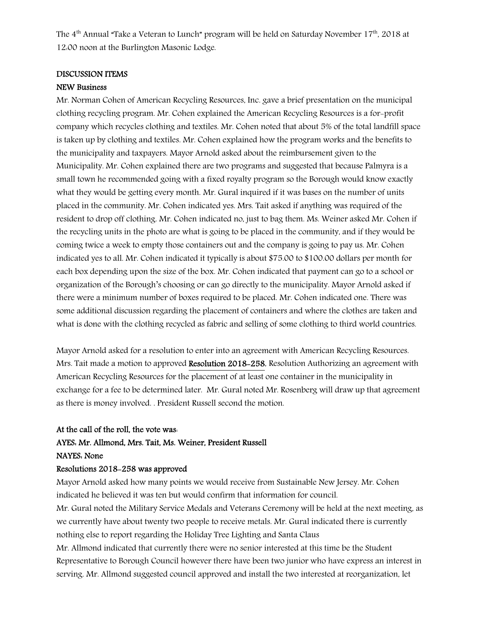The  $4<sup>th</sup>$  Annual "Take a Veteran to Lunch" program will be held on Saturday November 17<sup>th</sup>, 2018 at 12:00 noon at the Burlington Masonic Lodge.

## DISCUSSION ITEMS

#### NEW Business

Mr. Norman Cohen of American Recycling Resources, Inc. gave a brief presentation on the municipal clothing recycling program. Mr. Cohen explained the American Recycling Resources is a for-profit company which recycles clothing and textiles. Mr. Cohen noted that about 5% of the total landfill space is taken up by clothing and textiles. Mr. Cohen explained how the program works and the benefits to the municipality and taxpayers. Mayor Arnold asked about the reimbursement given to the Municipality. Mr. Cohen explained there are two programs and suggested that because Palmyra is a small town he recommended going with a fixed royalty program so the Borough would know exactly what they would be getting every month. Mr. Gural inquired if it was bases on the number of units placed in the community. Mr. Cohen indicated yes. Mrs. Tait asked if anything was required of the resident to drop off clothing. Mr. Cohen indicated no, just to bag them. Ms. Weiner asked Mr. Cohen if the recycling units in the photo are what is going to be placed in the community, and if they would be coming twice a week to empty those containers out and the company is going to pay us. Mr. Cohen indicated yes to all. Mr. Cohen indicated it typically is about \$75.00 to \$100.00 dollars per month for each box depending upon the size of the box. Mr. Cohen indicated that payment can go to a school or organization of the Borough's choosing or can go directly to the municipality. Mayor Arnold asked if there were a minimum number of boxes required to be placed. Mr. Cohen indicated one. There was some additional discussion regarding the placement of containers and where the clothes are taken and what is done with the clothing recycled as fabric and selling of some clothing to third world countries.

Mayor Arnold asked for a resolution to enter into an agreement with American Recycling Resources. Mrs. Tait made a motion to approved Resolution 2018-258, Resolution Authorizing an agreement with American Recycling Resources for the placement of at least one container in the municipality in exchange for a fee to be determined later. Mr. Gural noted Mr. Rosenberg will draw up that agreement as there is money involved. . President Russell second the motion.

## At the call of the roll, the vote was:

## AYES: Mr. Allmond, Mrs. Tait, Ms. Weiner, President Russell

#### NAYES: None

## Resolutions 2018-258 was approved

Mayor Arnold asked how many points we would receive from Sustainable New Jersey. Mr. Cohen indicated he believed it was ten but would confirm that information for council.

Mr. Gural noted the Military Service Medals and Veterans Ceremony will be held at the next meeting, as we currently have about twenty two people to receive metals. Mr. Gural indicated there is currently nothing else to report regarding the Holiday Tree Lighting and Santa Claus

Mr. Allmond indicated that currently there were no senior interested at this time be the Student Representative to Borough Council however there have been two junior who have express an interest in serving. Mr. Allmond suggested council approved and install the two interested at reorganization, let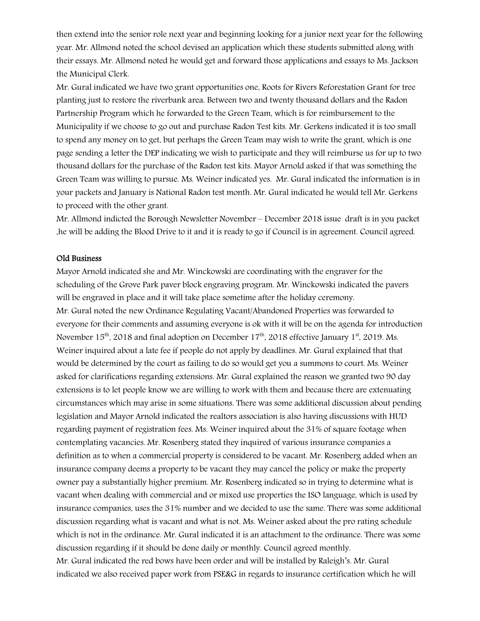then extend into the senior role next year and beginning looking for a junior next year for the following year. Mr. Allmond noted the school devised an application which these students submitted along with their essays. Mr. Allmond noted he would get and forward those applications and essays to Ms. Jackson the Municipal Clerk.

Mr. Gural indicated we have two grant opportunities one, Roots for Rivers Reforestation Grant for tree planting just to restore the riverbank area. Between two and twenty thousand dollars and the Radon Partnership Program which he forwarded to the Green Team, which is for reimbursement to the Municipality if we choose to go out and purchase Radon Test kits. Mr. Gerkens indicated it is too small to spend any money on to get, but perhaps the Green Team may wish to write the grant, which is one page sending a letter the DEP indicating we wish to participate and they will reimburse us for up to two thousand dollars for the purchase of the Radon test kits. Mayor Arnold asked if that was something the Green Team was willing to pursue. Ms. Weiner indicated yes. Mr. Gural indicated the information is in your packets and January is National Radon test month. Mr. Gural indicated he would tell Mr. Gerkens to proceed with the other grant.

Mr. Allmond indicted the Borough Newsletter November – December 2018 issue draft is in you packet ,he will be adding the Blood Drive to it and it is ready to go if Council is in agreement. Council agreed.

#### Old Business

Mayor Arnold indicated she and Mr. Winckowski are coordinating with the engraver for the scheduling of the Grove Park paver block engraving program. Mr. Winckowski indicated the pavers will be engraved in place and it will take place sometime after the holiday ceremony. Mr. Gural noted the new Ordinance Regulating Vacant/Abandoned Properties was forwarded to everyone for their comments and assuming everyone is ok with it will be on the agenda for introduction November 15<sup>th</sup>, 2018 and final adoption on December 17<sup>th</sup>, 2018 effective January 1<sup>st</sup>, 2019. Ms. Weiner inquired about a late fee if people do not apply by deadlines. Mr. Gural explained that that would be determined by the court as failing to do so would get you a summons to court. Ms. Weiner asked for clarifications regarding extensions. Mr. Gural explained the reason we granted two 90 day extensions is to let people know we are willing to work with them and because there are extenuating circumstances which may arise in some situations. There was some additional discussion about pending legislation and Mayor Arnold indicated the realtors association is also having discussions with HUD regarding payment of registration fees. Ms. Weiner inquired about the 31% of square footage when contemplating vacancies. Mr. Rosenberg stated they inquired of various insurance companies a definition as to when a commercial property is considered to be vacant. Mr. Rosenberg added when an insurance company deems a property to be vacant they may cancel the policy or make the property owner pay a substantially higher premium. Mr. Rosenberg indicated so in trying to determine what is vacant when dealing with commercial and or mixed use properties the ISO language, which is used by insurance companies, uses the 31% number and we decided to use the same. There was some additional discussion regarding what is vacant and what is not. Ms. Weiner asked about the pro rating schedule which is not in the ordinance. Mr. Gural indicated it is an attachment to the ordinance. There was some discussion regarding if it should be done daily or monthly. Council agreed monthly. Mr. Gural indicated the red bows have been order and will be installed by Raleigh's. Mr. Gural

indicated we also received paper work from PSE&G in regards to insurance certification which he will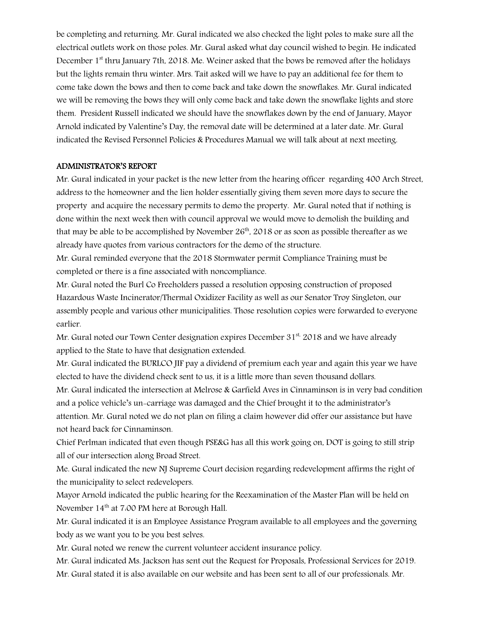be completing and returning. Mr. Gural indicated we also checked the light poles to make sure all the electrical outlets work on those poles. Mr. Gural asked what day council wished to begin. He indicated December 1<sup>st</sup> thru January 7th, 2018. Me. Weiner asked that the bows be removed after the holidays but the lights remain thru winter. Mrs. Tait asked will we have to pay an additional fee for them to come take down the bows and then to come back and take down the snowflakes. Mr. Gural indicated we will be removing the bows they will only come back and take down the snowflake lights and store them. President Russell indicated we should have the snowflakes down by the end of January, Mayor Arnold indicated by Valentine's Day, the removal date will be determined at a later date. Mr. Gural indicated the Revised Personnel Policies & Procedures Manual we will talk about at next meeting.

#### ADMINISTRATOR'S REPORT

Mr. Gural indicated in your packet is the new letter from the hearing officer regarding 400 Arch Street, address to the homeowner and the lien holder essentially giving them seven more days to secure the property and acquire the necessary permits to demo the property. Mr. Gural noted that if nothing is done within the next week then with council approval we would move to demolish the building and that may be able to be accomplished by November  $26<sup>th</sup>$ , 2018 or as soon as possible thereafter as we already have quotes from various contractors for the demo of the structure.

Mr. Gural reminded everyone that the 2018 Stormwater permit Compliance Training must be completed or there is a fine associated with noncompliance.

Mr. Gural noted the Burl Co Freeholders passed a resolution opposing construction of proposed Hazardous Waste Incinerator/Thermal Oxidizer Facility as well as our Senator Troy Singleton, our assembly people and various other municipalities. Those resolution copies were forwarded to everyone earlier.

Mr. Gural noted our Town Center designation expires December 31st, 2018 and we have already applied to the State to have that designation extended.

Mr. Gural indicated the BURLCO JIF pay a dividend of premium each year and again this year we have elected to have the dividend check sent to us, it is a little more than seven thousand dollars.

Mr. Gural indicated the intersection at Melrose & Garfield Aves in Cinnaminson is in very bad condition and a police vehicle's un-carriage was damaged and the Chief brought it to the administrator's attention. Mr. Gural noted we do not plan on filing a claim however did offer our assistance but have not heard back for Cinnaminson.

Chief Perlman indicated that even though PSE&G has all this work going on, DOT is going to still strip all of our intersection along Broad Street.

Me. Gural indicated the new NJ Supreme Court decision regarding redevelopment affirms the right of the municipality to select redevelopers.

Mayor Arnold indicated the public hearing for the Reexamination of the Master Plan will be held on November  $14<sup>th</sup>$  at 7:00 PM here at Borough Hall.

Mr. Gural indicated it is an Employee Assistance Program available to all employees and the governing body as we want you to be you best selves.

Mr. Gural noted we renew the current volunteer accident insurance policy.

Mr. Gural indicated Ms. Jackson has sent out the Request for Proposals, Professional Services for 2019. Mr. Gural stated it is also available on our website and has been sent to all of our professionals. Mr.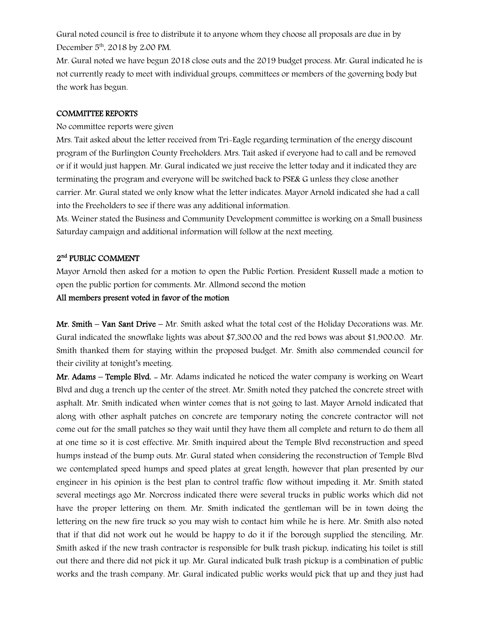Gural noted council is free to distribute it to anyone whom they choose all proposals are due in by December  $5<sup>th</sup>$ , 2018 by 2:00 PM.

Mr. Gural noted we have begun 2018 close outs and the 2019 budget process. Mr. Gural indicated he is not currently ready to meet with individual groups, committees or members of the governing body but the work has begun.

#### COMMITTEE REPORTS

#### No committee reports were given

Mrs. Tait asked about the letter received from Tri-Eagle regarding termination of the energy discount program of the Burlington County Freeholders. Mrs. Tait asked if everyone had to call and be removed or if it would just happen. Mr. Gural indicated we just receive the letter today and it indicated they are terminating the program and everyone will be switched back to PSE& G unless they close another carrier. Mr. Gural stated we only know what the letter indicates. Mayor Arnold indicated she had a call into the Freeholders to see if there was any additional information.

Ms. Weiner stated the Business and Community Development committee is working on a Small business Saturday campaign and additional information will follow at the next meeting.

## 2<sup>nd</sup> PUBLIC COMMENT

Mayor Arnold then asked for a motion to open the Public Portion. President Russell made a motion to open the public portion for comments. Mr. Allmond second the motion

## All members present voted in favor of the motion

Mr. Smith – Van Sant Drive – Mr. Smith asked what the total cost of the Holiday Decorations was. Mr. Gural indicated the snowflake lights was about \$7,300.00 and the red bows was about \$1,900.00. Mr. Smith thanked them for staying within the proposed budget. Mr. Smith also commended council for their civility at tonight's meeting.

Mr. Adams – Temple Blvd. - Mr. Adams indicated he noticed the water company is working on Weart Blvd and dug a trench up the center of the street. Mr. Smith noted they patched the concrete street with asphalt. Mr. Smith indicated when winter comes that is not going to last. Mayor Arnold indicated that along with other asphalt patches on concrete are temporary noting the concrete contractor will not come out for the small patches so they wait until they have them all complete and return to do them all at one time so it is cost effective. Mr. Smith inquired about the Temple Blvd reconstruction and speed humps instead of the bump outs. Mr. Gural stated when considering the reconstruction of Temple Blvd we contemplated speed humps and speed plates at great length, however that plan presented by our engineer in his opinion is the best plan to control traffic flow without impeding it. Mr. Smith stated several meetings ago Mr. Norcross indicated there were several trucks in public works which did not have the proper lettering on them. Mr. Smith indicated the gentleman will be in town doing the lettering on the new fire truck so you may wish to contact him while he is here. Mr. Smith also noted that if that did not work out he would be happy to do it if the borough supplied the stenciling. Mr. Smith asked if the new trash contractor is responsible for bulk trash pickup, indicating his toilet is still out there and there did not pick it up. Mr. Gural indicated bulk trash pickup is a combination of public works and the trash company. Mr. Gural indicated public works would pick that up and they just had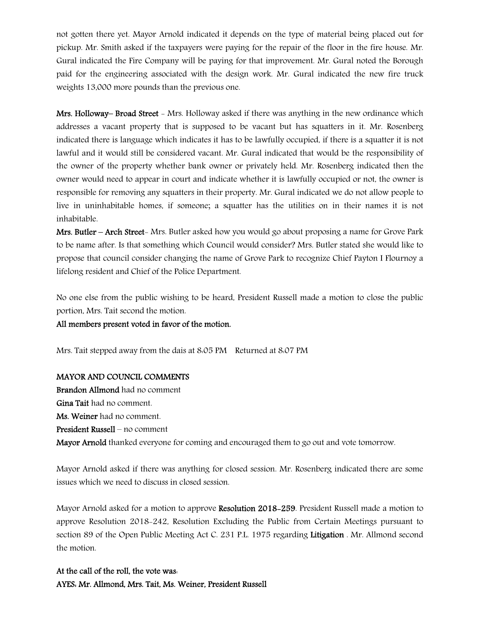not gotten there yet. Mayor Arnold indicated it depends on the type of material being placed out for pickup. Mr. Smith asked if the taxpayers were paying for the repair of the floor in the fire house. Mr. Gural indicated the Fire Company will be paying for that improvement. Mr. Gural noted the Borough paid for the engineering associated with the design work. Mr. Gural indicated the new fire truck weights 13,000 more pounds than the previous one.

Mrs. Holloway– Broad Street - Mrs. Holloway asked if there was anything in the new ordinance which addresses a vacant property that is supposed to be vacant but has squatters in it. Mr. Rosenberg indicated there is language which indicates it has to be lawfully occupied, if there is a squatter it is not lawful and it would still be considered vacant. Mr. Gural indicated that would be the responsibility of the owner of the property whether bank owner or privately held. Mr. Rosenberg indicated then the owner would need to appear in court and indicate whether it is lawfully occupied or not, the owner is responsible for removing any squatters in their property. Mr. Gural indicated we do not allow people to live in uninhabitable homes, if someone; a squatter has the utilities on in their names it is not inhabitable.

Mrs. Butler – Arch Street- Mrs. Butler asked how you would go about proposing a name for Grove Park to be name after. Is that something which Council would consider? Mrs. Butler stated she would like to propose that council consider changing the name of Grove Park to recognize Chief Payton I Flournoy a lifelong resident and Chief of the Police Department.

No one else from the public wishing to be heard, President Russell made a motion to close the public portion, Mrs. Tait second the motion.

## All members present voted in favor of the motion.

Mrs. Tait stepped away from the dais at 8.05 PM Returned at 8.07 PM

## MAYOR AND COUNCIL COMMENTS

Brandon Allmond had no comment Gina Tait had no comment. Ms. Weiner had no comment. President Russell – no comment Mayor Arnold thanked everyone for coming and encouraged them to go out and vote tomorrow.

Mayor Arnold asked if there was anything for closed session. Mr. Rosenberg indicated there are some issues which we need to discuss in closed session.

Mayor Arnold asked for a motion to approve Resolution 2018-259. President Russell made a motion to approve Resolution 2018-242, Resolution Excluding the Public from Certain Meetings pursuant to section 89 of the Open Public Meeting Act C. 231 P.L. 1975 regarding Litigation . Mr. Allmond second the motion.

# At the call of the roll, the vote was: AYES: Mr. Allmond, Mrs. Tait, Ms. Weiner, President Russell